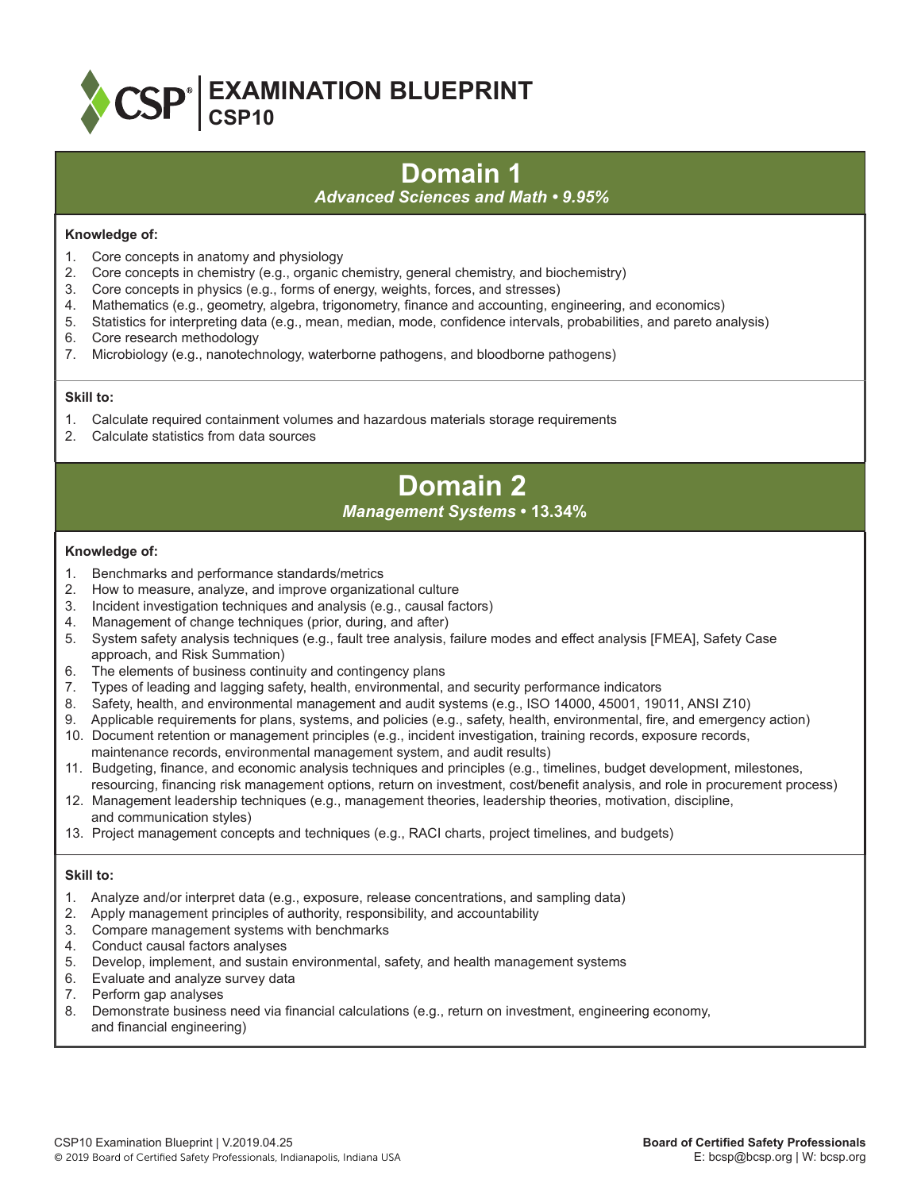

# **Domain 1**

### *Advanced Sciences and Math • 9.95%*

### **Knowledge of:**

- 1. Core concepts in anatomy and physiology
- 2. Core concepts in chemistry (e.g., organic chemistry, general chemistry, and biochemistry)
- 3. Core concepts in physics (e.g., forms of energy, weights, forces, and stresses)
- 4. Mathematics (e.g., geometry, algebra, trigonometry, finance and accounting, engineering, and economics)
- 5. Statistics for interpreting data (e.g., mean, median, mode, confidence intervals, probabilities, and pareto analysis)
- 6. Core research methodology
- 7. Microbiology (e.g., nanotechnology, waterborne pathogens, and bloodborne pathogens)

### **Skill to:**

- 1. Calculate required containment volumes and hazardous materials storage requirements
- 2. Calculate statistics from data sources

## **Domain 2** *Management Systems* **• 13.34%**

### **Knowledge of:**

- 1. Benchmarks and performance standards/metrics
- 2. How to measure, analyze, and improve organizational culture
- 3. Incident investigation techniques and analysis (e.g., causal factors)
- 4. Management of change techniques (prior, during, and after)
- 5. System safety analysis techniques (e.g., fault tree analysis, failure modes and effect analysis [FMEA], Safety Case approach, and Risk Summation)
- 6. The elements of business continuity and contingency plans
- 7. Types of leading and lagging safety, health, environmental, and security performance indicators
- 8. Safety, health, and environmental management and audit systems (e.g., ISO 14000, 45001, 19011, ANSI Z10)
- 9. Applicable requirements for plans, systems, and policies (e.g., safety, health, environmental, fire, and emergency action)
- 10. Document retention or management principles (e.g., incident investigation, training records, exposure records, maintenance records, environmental management system, and audit results)
- 11. Budgeting, finance, and economic analysis techniques and principles (e.g., timelines, budget development, milestones, resourcing, financing risk management options, return on investment, cost/benefit analysis, and role in procurement process)
- 12. Management leadership techniques (e.g., management theories, leadership theories, motivation, discipline, and communication styles)
- 13. Project management concepts and techniques (e.g., RACI charts, project timelines, and budgets)

- 1. Analyze and/or interpret data (e.g., exposure, release concentrations, and sampling data)
- 2. Apply management principles of authority, responsibility, and accountability
- 3. Compare management systems with benchmarks
- 4. Conduct causal factors analyses
- 5. Develop, implement, and sustain environmental, safety, and health management systems
- 6. Evaluate and analyze survey data
- 7. Perform gap analyses
- 8. Demonstrate business need via financial calculations (e.g., return on investment, engineering economy, and financial engineering)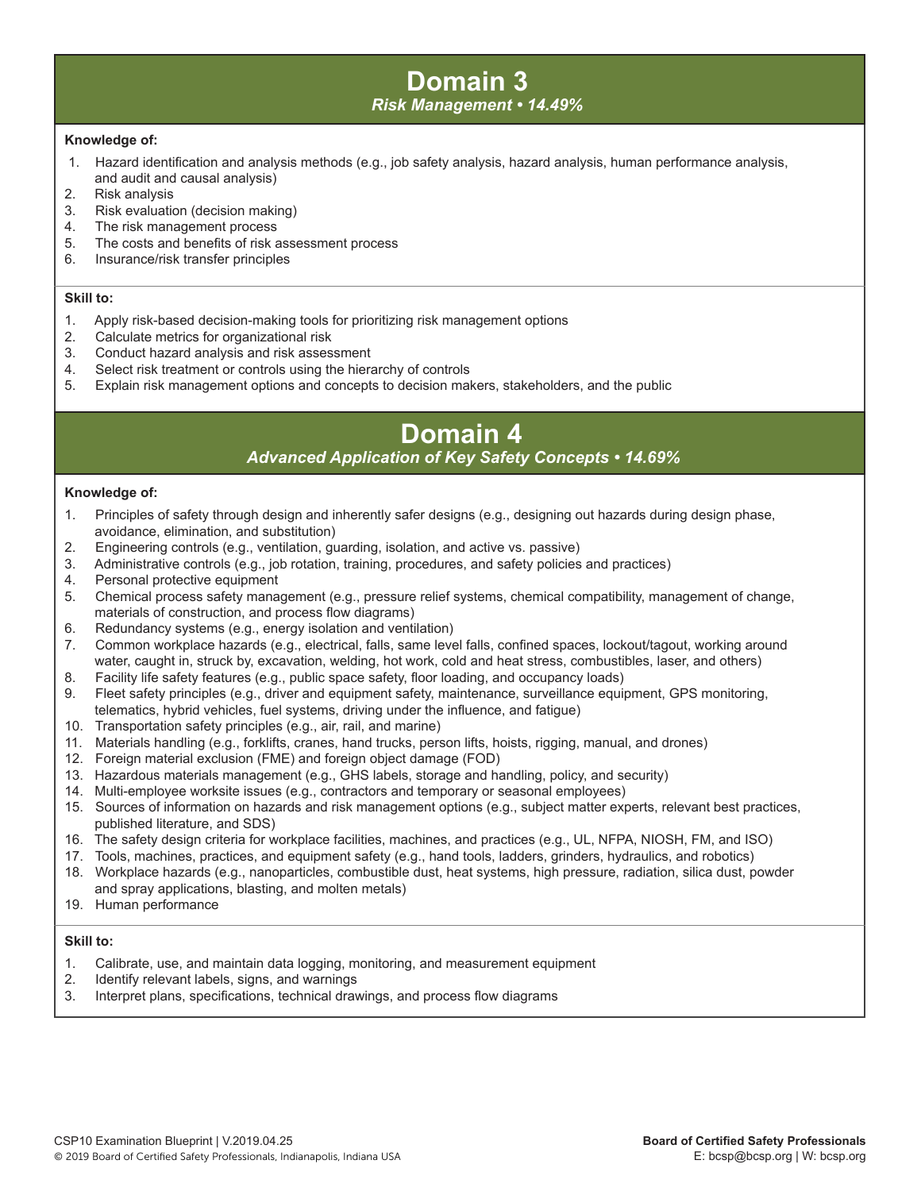### **Domain 3** *Risk Management • 14.49%*

### **Knowledge of:**

- 1. Hazard identification and analysis methods (e.g., job safety analysis, hazard analysis, human performance analysis, and audit and causal analysis)
- 2. Risk analysis
- 3. Risk evaluation (decision making)
- 4. The risk management process
- 5. The costs and benefits of risk assessment process
- 6. Insurance/risk transfer principles

#### **Skill to:**

- 1. Apply risk-based decision-making tools for prioritizing risk management options
- 2. Calculate metrics for organizational risk
- 3. Conduct hazard analysis and risk assessment
- 4. Select risk treatment or controls using the hierarchy of controls
- 5. Explain risk management options and concepts to decision makers, stakeholders, and the public

## **Domain 4**  *Advanced Application of Key Safety Concepts • 14.69%*

### **Knowledge of:**

- 1. Principles of safety through design and inherently safer designs (e.g., designing out hazards during design phase, avoidance, elimination, and substitution)
- 2. Engineering controls (e.g., ventilation, guarding, isolation, and active vs. passive)
- 3. Administrative controls (e.g., job rotation, training, procedures, and safety policies and practices)
- 4. Personal protective equipment
- 5. Chemical process safety management (e.g., pressure relief systems, chemical compatibility, management of change, materials of construction, and process flow diagrams)<br>6. Redundancy systems (e.g., energy isolation and vention
- Redundancy systems (e.g., energy isolation and ventilation)
- 7. Common workplace hazards (e.g., electrical, falls, same level falls, confined spaces, lockout/tagout, working around water, caught in, struck by, excavation, welding, hot work, cold and heat stress, combustibles, laser, and others)<br>8. Facility life safety features (e.g., public space safety, floor loading, and occupancy loads)
- Facility life safety features (e.g., public space safety, floor loading, and occupancy loads)
- 9. Fleet safety principles (e.g., driver and equipment safety, maintenance, surveillance equipment, GPS monitoring, telematics, hybrid vehicles, fuel systems, driving under the influence, and fatigue)
- 10. Transportation safety principles (e.g., air, rail, and marine)
- 11. Materials handling (e.g., forklifts, cranes, hand trucks, person lifts, hoists, rigging, manual, and drones)
- 12. Foreign material exclusion (FME) and foreign object damage (FOD)
- 13. Hazardous materials management (e.g., GHS labels, storage and handling, policy, and security)
- 14. Multi-employee worksite issues (e.g., contractors and temporary or seasonal employees)
- 15. Sources of information on hazards and risk management options (e.g., subject matter experts, relevant best practices, published literature, and SDS)
- 16. The safety design criteria for workplace facilities, machines, and practices (e.g., UL, NFPA, NIOSH, FM, and ISO)
- 17. Tools, machines, practices, and equipment safety (e.g., hand tools, ladders, grinders, hydraulics, and robotics)
- 18. Workplace hazards (e.g., nanoparticles, combustible dust, heat systems, high pressure, radiation, silica dust, powder and spray applications, blasting, and molten metals)
- 19. Human performance

- 1. Calibrate, use, and maintain data logging, monitoring, and measurement equipment
- 2. Identify relevant labels, signs, and warnings
- 3. Interpret plans, specifications, technical drawings, and process flow diagrams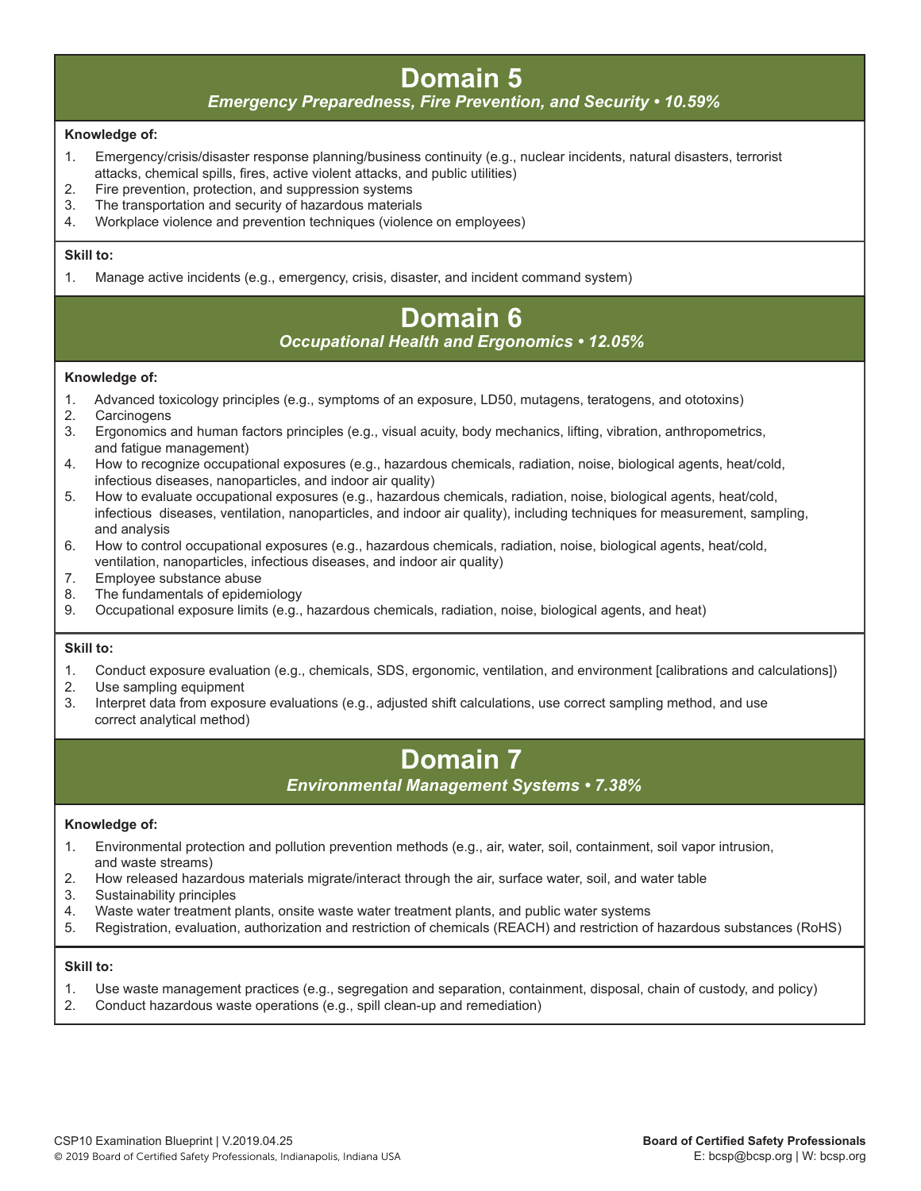## **Domain 5**

### *Emergency Preparedness, Fire Prevention, and Security • 10.59%*

### **Knowledge of:**

- 1. Emergency/crisis/disaster response planning/business continuity (e.g., nuclear incidents, natural disasters, terrorist attacks, chemical spills, fires, active violent attacks, and public utilities)<br>2. Fire prevention, protection, and suppression systems
- Fire prevention, protection, and suppression systems
- 3. The transportation and security of hazardous materials
- 4. Workplace violence and prevention techniques (violence on employees)

### **Skill to:**

1. Manage active incidents (e.g., emergency, crisis, disaster, and incident command system)

# **Domain 6**

### *Occupational Health and Ergonomics • 12.05%*

### **Knowledge of:**

- 1. Advanced toxicology principles (e.g., symptoms of an exposure, LD50, mutagens, teratogens, and ototoxins)
- 2. Carcinogens
- 3. Ergonomics and human factors principles (e.g., visual acuity, body mechanics, lifting, vibration, anthropometrics, and fatigue management)
- 4. How to recognize occupational exposures (e.g., hazardous chemicals, radiation, noise, biological agents, heat/cold, infectious diseases, nanoparticles, and indoor air quality)
- 5. How to evaluate occupational exposures (e.g., hazardous chemicals, radiation, noise, biological agents, heat/cold, infectious diseases, ventilation, nanoparticles, and indoor air quality), including techniques for measurement, sampling, and analysis
- 6. How to control occupational exposures (e.g., hazardous chemicals, radiation, noise, biological agents, heat/cold, ventilation, nanoparticles, infectious diseases, and indoor air quality)<br>7. Employee substance abuse
- Employee substance abuse
- 8. The fundamentals of epidemiology
- 9. Occupational exposure limits (e.g., hazardous chemicals, radiation, noise, biological agents, and heat)

### **Skill to:**

- 1. Conduct exposure evaluation (e.g., chemicals, SDS, ergonomic, ventilation, and environment [calibrations and calculations])
- 2. Use sampling equipment
- 3. Interpret data from exposure evaluations (e.g., adjusted shift calculations, use correct sampling method, and use correct analytical method)

## **Domain 7**

### *Environmental Management Systems • 7.38%*

### **Knowledge of:**

- 1. Environmental protection and pollution prevention methods (e.g., air, water, soil, containment, soil vapor intrusion, and waste streams)
- 2. How released hazardous materials migrate/interact through the air, surface water, soil, and water table
- 3. Sustainability principles
- 4. Waste water treatment plants, onsite waste water treatment plants, and public water systems
- 5. Registration, evaluation, authorization and restriction of chemicals (REACH) and restriction of hazardous substances (RoHS)

- 1. Use waste management practices (e.g., segregation and separation, containment, disposal, chain of custody, and policy)
- 2. Conduct hazardous waste operations (e.g., spill clean-up and remediation)